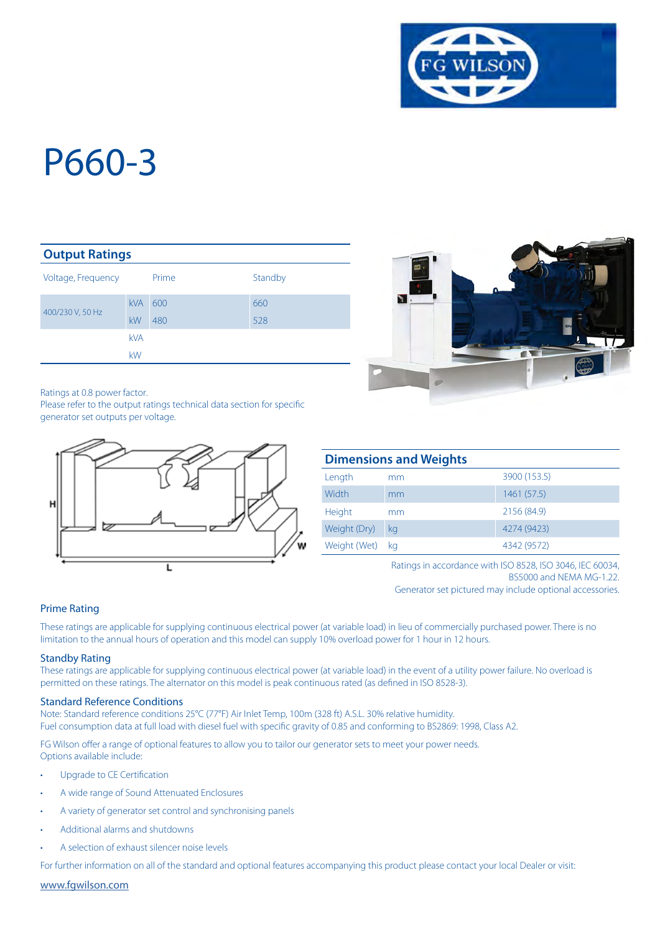

#### **Output Ratings**

| Voltage, Frequency |                  | Prime      | Standby    |
|--------------------|------------------|------------|------------|
| 400/230 V, 50 Hz   | <b>kVA</b><br>kW | 600<br>480 | 660<br>528 |
|                    | <b>kVA</b><br>kW |            |            |

Ratings at 0.8 power factor.

Please refer to the output ratings technical data section for specific generator set outputs per voltage.





| <b>Dimensions and Weights</b> |    |              |  |  |
|-------------------------------|----|--------------|--|--|
| Length                        | mm | 3900 (153.5) |  |  |
| Width                         | mm | 1461 (57.5)  |  |  |
| Height                        | mm | 2156 (84.9)  |  |  |
| Weight (Dry)                  | kg | 4274 (9423)  |  |  |
| Weight (Wet)                  | ka | 4342 (9572)  |  |  |

Ratings in accordance with ISO 8528, ISO 3046, IEC 60034, BS5000 and NEMA MG-1.22.

Generator set pictured may include optional accessories.

#### Prime Rating

These ratings are applicable for supplying continuous electrical power (at variable load) in lieu of commercially purchased power. There is no limitation to the annual hours of operation and this model can supply 10% overload power for 1 hour in 12 hours.

#### Standby Rating

These ratings are applicable for supplying continuous electrical power (at variable load) in the event of a utility power failure. No overload is permitted on these ratings. The alternator on this model is peak continuous rated (as defined in ISO 8528-3).

#### Standard Reference Conditions

Note: Standard reference conditions 25°C (77°F) Air Inlet Temp, 100m (328 ft) A.S.L. 30% relative humidity. Fuel consumption data at full load with diesel fuel with specific gravity of 0.85 and conforming to BS2869: 1998, Class A2.

FG Wilson offer a range of optional features to allow you to tailor our generator sets to meet your power needs. Options available include:

- Upgrade to CE Certification
- A wide range of Sound Attenuated Enclosures
- A variety of generator set control and synchronising panels
- Additional alarms and shutdowns
- A selection of exhaust silencer noise levels

For further information on all of the standard and optional features accompanying this product please contact your local Dealer or visit:

www.fgwilson.com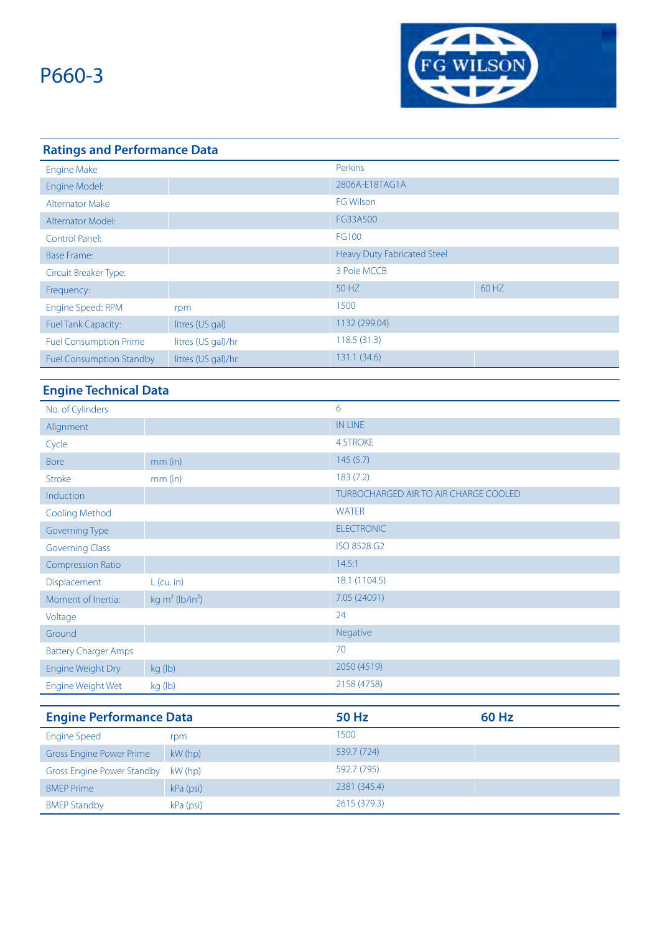

### **Ratings and Performance Data** Engine Make Perkins Engine Model: 2806A-E18TAG1A Alternator Make FG Wilson Alternator Model: FG33A500 Control Panel: FG100 Base Frame: **Heavy Duty Fabricated Steel** Circuit Breaker Type: 3 Pole MCCB Frequency: 60 HZ 60 HZ Engine Speed: RPM rpm rpm 1500 Fuel Tank Capacity: litres (US gal) 1132 (299.04) Fuel Consumption Prime litres (US gal)/hr 118.5 (31.3) Fuel Consumption Standby litres (US gal)/hr 131.1 (34.6)

### **Engine Technical Data**

| No. of Cylinders                  |                                | 6                                            |              |  |
|-----------------------------------|--------------------------------|----------------------------------------------|--------------|--|
| Alignment                         |                                | <b>IN LINE</b>                               |              |  |
| Cycle                             |                                | <b>4 STROKE</b>                              |              |  |
| <b>Bore</b>                       | $mm$ (in)                      | 145(5.7)                                     |              |  |
| <b>Stroke</b>                     | mm (in)                        | 183(7.2)                                     |              |  |
| Induction                         |                                | <b>TURBOCHARGED AIR TO AIR CHARGE COOLED</b> |              |  |
| Cooling Method                    |                                | <b>WATER</b>                                 |              |  |
| <b>Governing Type</b>             |                                | <b>ELECTRONIC</b>                            |              |  |
| <b>Governing Class</b>            |                                | ISO 8528 G2                                  |              |  |
| <b>Compression Ratio</b>          |                                | 14.5:1                                       |              |  |
| Displacement                      | $L$ (cu. in)                   | 18.1 (1104.5)                                |              |  |
| Moment of Inertia:                | kg $m^2$ (lb/in <sup>2</sup> ) | 7.05 (24091)                                 |              |  |
| Voltage                           |                                | 24                                           |              |  |
| Ground                            |                                | Negative                                     |              |  |
| <b>Battery Charger Amps</b>       |                                | 70                                           |              |  |
| Engine Weight Dry                 | kg (lb)                        | 2050 (4519)                                  |              |  |
| Engine Weight Wet                 | kg (lb)                        | 2158 (4758)                                  |              |  |
|                                   |                                |                                              |              |  |
| <b>Engine Performance Data</b>    |                                | <b>50 Hz</b>                                 | <b>60 Hz</b> |  |
| <b>Engine Speed</b>               | rpm                            | 1500                                         |              |  |
| <b>Gross Engine Power Prime</b>   | kW (hp)                        | 539.7 (724)                                  |              |  |
| <b>Gross Engine Power Standby</b> | kW (hp)                        | 592.7 (795)                                  |              |  |
| <b>BMEP Prime</b>                 | kPa (psi)                      | 2381 (345.4)                                 |              |  |

BMEP Standby **kPa** (psi) **2615 (379.3)**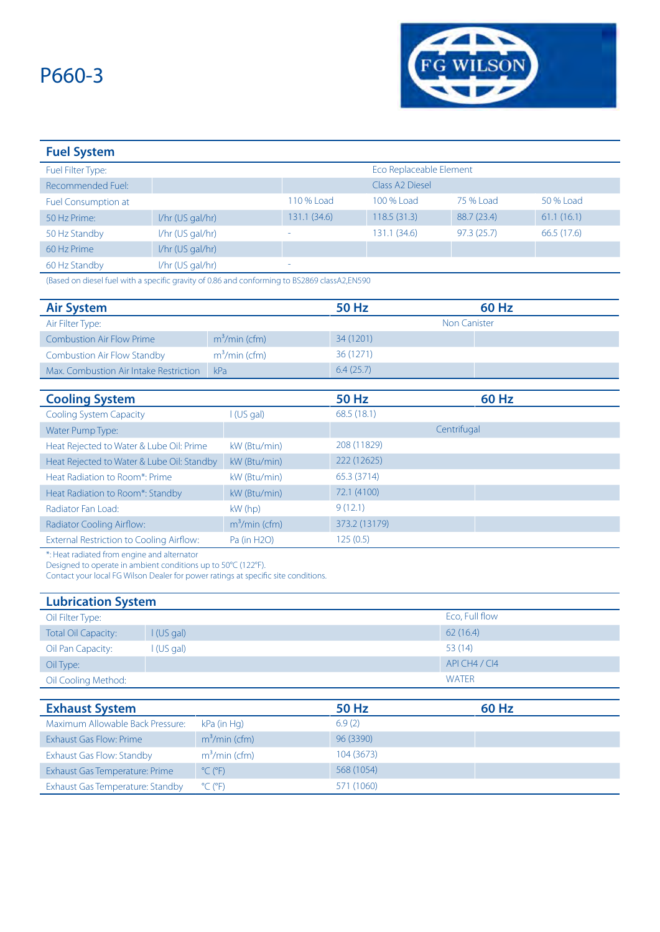

| <b>Fuel System</b>         |                    |              |                             |             |             |
|----------------------------|--------------------|--------------|-----------------------------|-------------|-------------|
| Fuel Filter Type:          |                    |              | Eco Replaceable Element     |             |             |
| Recommended Fuel:          |                    |              | Class A <sub>2</sub> Diesel |             |             |
| <b>Fuel Consumption at</b> |                    | 110 % Load   | 100 % Load                  | 75 % Load   | 50 % Load   |
| 50 Hz Prime:               | 1/hr (US gal/hr)   | 131.1 (34.6) | 118.5(31.3)                 | 88.7 (23.4) | 61.1(16.1)  |
| 50 Hz Standby              | $1/hr$ (US gal/hr) | ۰            | 131.1 (34.6)                | 97.3(25.7)  | 66.5 (17.6) |
| 60 Hz Prime                | $I/hr$ (US gal/hr) |              |                             |             |             |
| 60 Hz Standby              | $1/hr$ (US gal/hr) | ۰            |                             |             |             |

(Based on diesel fuel with a specific gravity of 0.86 and conforming to BS2869 classA2,EN590

| <b>Air System</b>                               |                | <b>50 Hz</b>  | <b>60 Hz</b>        |  |
|-------------------------------------------------|----------------|---------------|---------------------|--|
| Air Filter Type:                                |                |               | <b>Non Canister</b> |  |
| <b>Combustion Air Flow Prime</b>                | $m3/min$ (cfm) | 34 (1201)     |                     |  |
| <b>Combustion Air Flow Standby</b>              | $m3/min$ (cfm) | 36 (1271)     |                     |  |
| Max. Combustion Air Intake Restriction          | kPa            | 6.4(25.7)     |                     |  |
|                                                 |                |               |                     |  |
| <b>Cooling System</b>                           |                | <b>50 Hz</b>  | <b>60 Hz</b>        |  |
| <b>Cooling System Capacity</b>                  | I (US gal)     | 68.5(18.1)    |                     |  |
| Water Pump Type:                                |                |               | Centrifugal         |  |
| Heat Rejected to Water & Lube Oil: Prime        | kW (Btu/min)   | 208 (11829)   |                     |  |
| Heat Rejected to Water & Lube Oil: Standby      | kW (Btu/min)   | 222 (12625)   |                     |  |
| Heat Radiation to Room*: Prime                  | kW (Btu/min)   | 65.3 (3714)   |                     |  |
| Heat Radiation to Room*: Standby                | kW (Btu/min)   | 72.1 (4100)   |                     |  |
| Radiator Fan Load:                              | $kW$ (hp)      | 9(12.1)       |                     |  |
| Radiator Cooling Airflow:                       | $m3/min$ (cfm) | 373.2 (13179) |                     |  |
| <b>External Restriction to Cooling Airflow:</b> | Pa (in H2O)    | 125(0.5)      |                     |  |

\*: Heat radiated from engine and alternator

Designed to operate in ambient conditions up to 50°C (122°F).

Contact your local FG Wilson Dealer for power ratings at specific site conditions.

| <b>Lubrication System</b>  |                       |                |  |  |
|----------------------------|-----------------------|----------------|--|--|
| Oil Filter Type:           |                       | Eco, Full flow |  |  |
| <b>Total Oil Capacity:</b> | $\mathsf{I}$ (US gal) | 62(16.4)       |  |  |
| Oil Pan Capacity:          | I(US gal)             | 53(14)         |  |  |
| Oil Type:                  |                       | API CH4 / CI4  |  |  |
| Oil Cooling Method:        |                       | <b>WATER</b>   |  |  |

| <b>Exhaust System</b>            |                              | 50 Hz      | 60 Hz |
|----------------------------------|------------------------------|------------|-------|
| Maximum Allowable Back Pressure: | kPa (in Hg)                  | 6.9(2)     |       |
| Exhaust Gas Flow: Prime          | $m3/min$ (cfm)               | 96 (3390)  |       |
| Exhaust Gas Flow: Standby        | $m3/min$ (cfm)               | 104 (3673) |       |
| Exhaust Gas Temperature: Prime   | $^{\circ}$ C ( $^{\circ}$ F) | 568 (1054) |       |
| Exhaust Gas Temperature: Standby | $^{\circ}$ C ( $^{\circ}$ F) | (1060)     |       |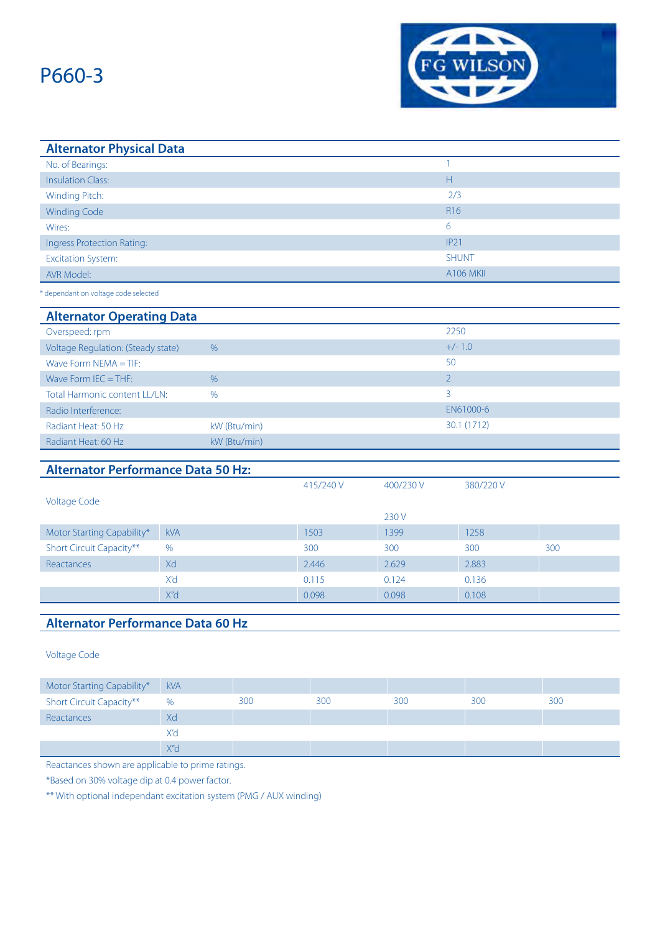

| <b>Alternator Physical Data</b> |                  |
|---------------------------------|------------------|
| No. of Bearings:                |                  |
| <b>Insulation Class:</b>        | Н                |
| Winding Pitch:                  | 2/3              |
| <b>Winding Code</b>             | R <sub>16</sub>  |
| Wires:                          | 6                |
| Ingress Protection Rating:      | IP21             |
| <b>Excitation System:</b>       | <b>SHUNT</b>     |
| AVR Model:                      | <b>A106 MKII</b> |
|                                 |                  |

\* dependant on voltage code selected

#### **Alternator Operating Data**

| Overspeed: rpm                     |               | 2250        |
|------------------------------------|---------------|-------------|
| Voltage Regulation: (Steady state) | %             | $+/- 1.0$   |
| Wave Form $NEMA = TIF$ :           |               | 50          |
| Wave Form $IEC = THE$ :            | $\%$          |             |
| Total Harmonic content LL/LN:      | $\frac{0}{0}$ | 3           |
| Radio Interference:                |               | EN61000-6   |
| Radiant Heat: 50 Hz                | kW (Btu/min)  | 30.1 (1712) |
| Radiant Heat: 60 Hz                | kW (Btu/min)  |             |

### **Alternator Performance Data 50 Hz:**

|                            |               | 415/240 V | 400/230 V | 380/220 V |     |
|----------------------------|---------------|-----------|-----------|-----------|-----|
| <b>Voltage Code</b>        |               |           |           |           |     |
|                            |               |           | 230 V     |           |     |
| Motor Starting Capability* | <b>kVA</b>    | 1503      | 1399      | 1258      |     |
| Short Circuit Capacity**   | $\frac{0}{0}$ | 300       | 300       | 300       | 300 |
| Reactances                 | Xd            | 2.446     | 2.629     | 2.883     |     |
|                            | X'd           | 0.115     | 0.124     | 0.136     |     |
|                            | X"d           | 0.098     | 0.098     | 0.108     |     |

### **Alternator Performance Data 60 Hz**

Voltage Code

| Motor Starting Capability*      | <b>kVA</b>       |     |     |     |     |     |
|---------------------------------|------------------|-----|-----|-----|-----|-----|
| <b>Short Circuit Capacity**</b> | %                | 300 | 300 | 300 | 300 | 300 |
| Reactances                      | Xd               |     |     |     |     |     |
|                                 | X'd              |     |     |     |     |     |
|                                 | X'' <sub>d</sub> |     |     |     |     |     |

Reactances shown are applicable to prime ratings.

\*Based on 30% voltage dip at 0.4 power factor.

\*\* With optional independant excitation system (PMG / AUX winding)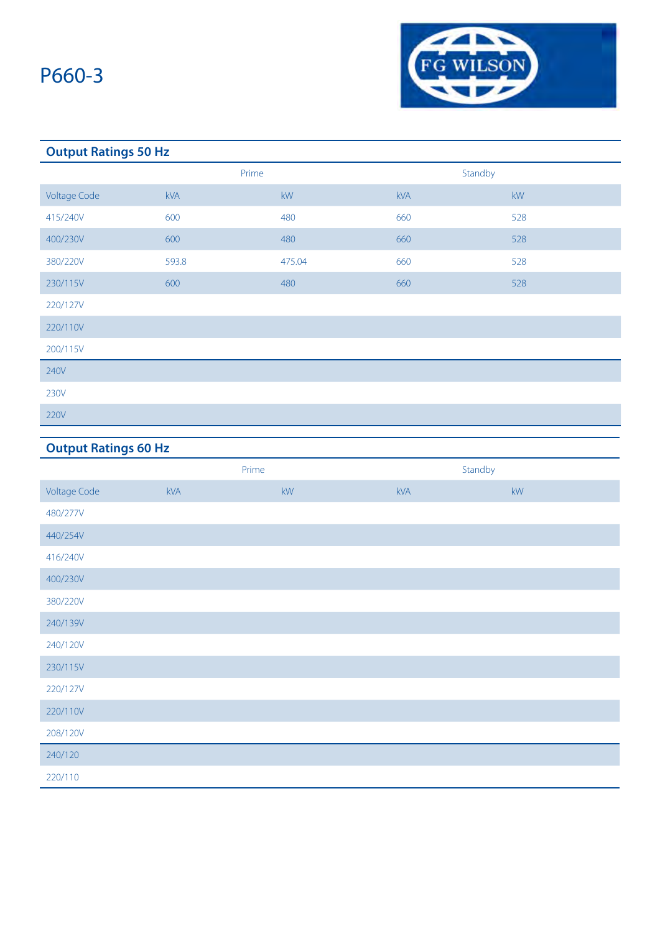

### **Output Ratings 50 Hz**

|                     | Prime |                        | Standby    |     |
|---------------------|-------|------------------------|------------|-----|
| <b>Voltage Code</b> | kVA   | $\mathsf{k}\mathsf{W}$ | <b>kVA</b> | kW  |
| 415/240V            | 600   | 480                    | 660        | 528 |
| 400/230V            | 600   | 480                    | 660        | 528 |
| 380/220V            | 593.8 | 475.04                 | 660        | 528 |
| 230/115V            | 600   | 480                    | 660        | 528 |
| 220/127V            |       |                        |            |     |
| 220/110V            |       |                        |            |     |
| 200/115V            |       |                        |            |     |
| 240V                |       |                        |            |     |
| 230V                |       |                        |            |     |
| 220V                |       |                        |            |     |

### **Output Ratings 60 Hz**

|                     | Prime      |    | Standby |                        |
|---------------------|------------|----|---------|------------------------|
| <b>Voltage Code</b> | <b>kVA</b> | kW | kVA     | $\mathsf{k}\mathsf{W}$ |
| 480/277V            |            |    |         |                        |
| 440/254V            |            |    |         |                        |
| 416/240V            |            |    |         |                        |
| 400/230V            |            |    |         |                        |
| 380/220V            |            |    |         |                        |
| 240/139V            |            |    |         |                        |
| 240/120V            |            |    |         |                        |
| 230/115V            |            |    |         |                        |
| 220/127V            |            |    |         |                        |
| 220/110V            |            |    |         |                        |
| 208/120V            |            |    |         |                        |
| 240/120             |            |    |         |                        |
| 220/110             |            |    |         |                        |